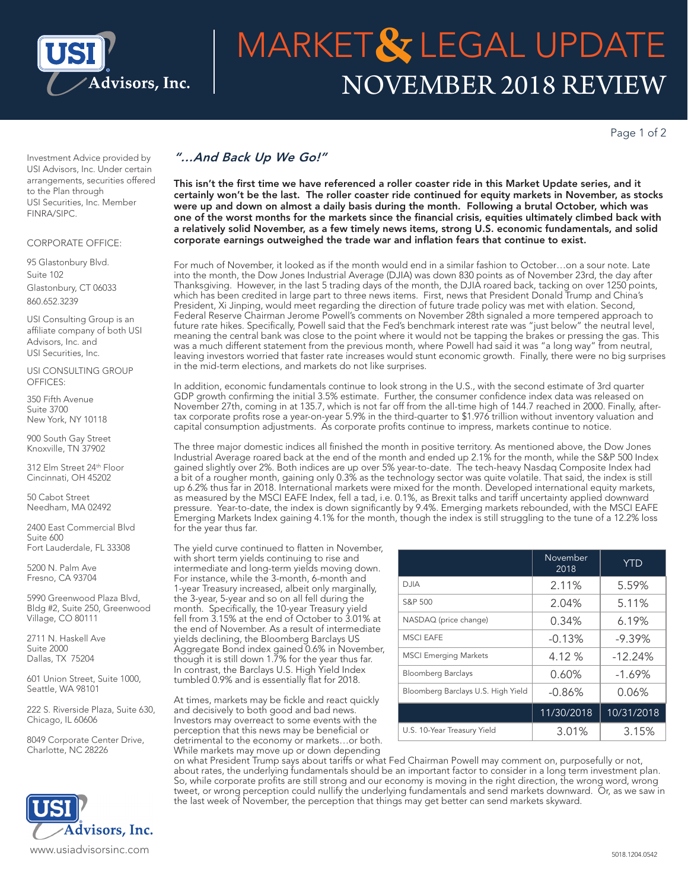

# NOVEMBER 2018 REVIEW MARKET & LEGAL UPDATE

Page 1 of 2

Investment Advice provided by USI Advisors, Inc. Under certain arrangements, securities offered to the Plan through USI Securities, Inc. Member FINRA/SIPC.

### CORPORATE OFFICE:

95 Glastonbury Blvd. Suite 102 Glastonbury, CT 06033 860.652.3239

USI Consulting Group is an affiliate company of both USI Advisors, Inc. and USI Securities, Inc.

USI CONSULTING GROUP OFFICES:

350 Fifth Avenue Suite 3700 New York, NY 10118

900 South Gay Street Knoxville, TN 37902

312 Elm Street 24th Floor Cincinnati, OH 45202

50 Cabot Street Needham, MA 02492

2400 East Commercial Blvd Suite 600 Fort Lauderdale, FL 33308

5200 N. Palm Ave Fresno, CA 93704

5990 Greenwood Plaza Blvd, Bldg #2, Suite 250, Greenwood Village, CO 80111

2711 N. Haskell Ave Suite 2000 Dallas, TX 75204

601 Union Street, Suite 1000, Seattle, WA 98101

222 S. Riverside Plaza, Suite 630, Chicago, IL 60606

8049 Corporate Center Drive, Charlotte, NC 28226



## *"…And Back Up We Go!"*

This isn't the first time we have referenced a roller coaster ride in this Market Update series, and it certainly won't be the last. The roller coaster ride continued for equity markets in November, as stocks were up and down on almost a daily basis during the month. Following a brutal October, which was one of the worst months for the markets since the financial crisis, equities ultimately climbed back with a relatively solid November, as a few timely news items, strong U.S. economic fundamentals, and solid corporate earnings outweighed the trade war and inflation fears that continue to exist.

For much of November, it looked as if the month would end in a similar fashion to October…on a sour note. Late into the month, the Dow Jones Industrial Average (DJIA) was down 830 points as of November 23rd, the day after Thanksgiving. However, in the last 5 trading days of the month, the DJIA roared back, tacking on over 1250 points, which has been credited in large part to three news items. First, news that President Donald Trump and China's President, Xi Jinping, would meet regarding the direction of future trade policy was met with elation. Second, Federal Reserve Chairman Jerome Powell's comments on November 28th signaled a more tempered approach to future rate hikes. Specifically, Powell said that the Fed's benchmark interest rate was "just below" the neutral level, meaning the central bank was close to the point where it would not be tapping the brakes or pressing the gas. This was a much different statement from the previous month, where Powell had said it was "a long way" from neutral, leaving investors worried that faster rate increases would stunt economic growth. Finally, there were no big surprises in the mid-term elections, and markets do not like surprises.

In addition, economic fundamentals continue to look strong in the U.S., with the second estimate of 3rd quarter GDP growth confirming the initial 3.5% estimate. Further, the consumer confidence index data was released on November 27th, coming in at 135.7, which is not far off from the all-time high of 144.7 reached in 2000. Finally, aftertax corporate profits rose a year-on-year 5.9% in the third-quarter to \$1.976 trillion without inventory valuation and capital consumption adjustments. As corporate profits continue to impress, markets continue to notice.

The three major domestic indices all finished the month in positive territory. As mentioned above, the Dow Jones Industrial Average roared back at the end of the month and ended up 2.1% for the month, while the S&P 500 Index gained slightly over 2%. Both indices are up over 5% year-to-date. The tech-heavy Nasdaq Composite Index had a bit of a rougher month, gaining only 0.3% as the technology sector was quite volatile. That said, the index is still up 6.2% thus far in 2018. International markets were mixed for the month. Developed international equity markets, as measured by the MSCI EAFE Index, fell a tad, i.e. 0.1%, as Brexit talks and tariff uncertainty applied downward pressure. Year-to-date, the index is down significantly by 9.4%. Emerging markets rebounded, with the MSCI EAFE Emerging Markets Index gaining 4.1% for the month, though the index is still struggling to the tune of a 12.2% loss for the year thus far.

The yield curve continued to flatten in November, with short term yields continuing to rise and intermediate and long-term yields moving down. For instance, while the 3-month, 6-month and 1-year Treasury increased, albeit only marginally, the 3-year, 5-year and so on all fell during the month. Specifically, the 10-year Treasury yield fell from 3.15% at the end of October to 3.01% at the end of November. As a result of intermediate yields declining, the Bloomberg Barclays US Aggregate Bond index gained 0.6% in November, though it is still down 1.7% for the year thus far. In contrast, the Barclays U.S. High Yield Index tumbled 0.9% and is essentially flat for 2018.

At times, markets may be fickle and react quickly and decisively to both good and bad news. Investors may overreact to some events with the perception that this news may be beneficial or detrimental to the economy or markets…or both. While markets may move up or down depending

|                                    | November<br>2018 | <b>YTD</b> |
|------------------------------------|------------------|------------|
| <b>DJIA</b>                        | 2.11%            | 5.59%      |
| S&P 500                            | 2.04%            | 5.11%      |
| NASDAQ (price change)              | 0.34%            | 6.19%      |
| <b>MSCI EAFE</b>                   | $-0.13%$         | $-9.39%$   |
| <b>MSCI Emerging Markets</b>       | 4.12 %           | $-12.24%$  |
| <b>Bloomberg Barclays</b>          | 0.60%            | $-1.69%$   |
| Bloomberg Barclays U.S. High Yield | $-0.86%$         | 0.06%      |
|                                    | 11/30/2018       | 10/31/2018 |
| U.S. 10-Year Treasury Yield        | 3.01%            | 3.15%      |

on what President Trump says about tariffs or what Fed Chairman Powell may comment on, purposefully or not, about rates, the underlying fundamentals should be an important factor to consider in a long term investment plan. So, while corporate profits are still strong and our economy is moving in the right direction, the wrong word, wrong tweet, or wrong perception could nullify the underlying fundamentals and send markets downward. Or, as we saw in the last week of November, the perception that things may get better can send markets skyward.